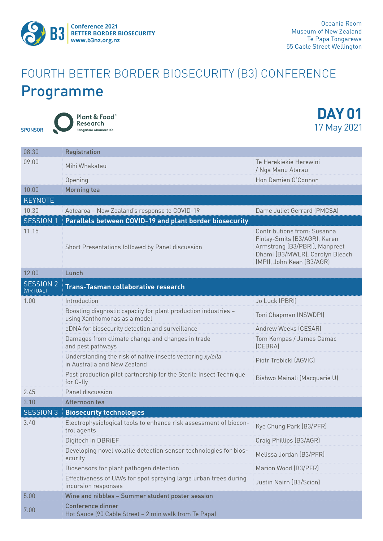

## FOURTH BETTER BORDER BIOSECURITY (B3) CONFERENCE Programme

SPONSOR

Plant & Food Research Rangahau Ahumāra Kai

**DAY 01** 17 May 2021

| 08.30                             | <b>Registration</b>                                                                            |                                                                                                                                                              |  |
|-----------------------------------|------------------------------------------------------------------------------------------------|--------------------------------------------------------------------------------------------------------------------------------------------------------------|--|
| 09.00                             | Mihi Whakatau                                                                                  | Te Herekiekie Herewini<br>/ Ngā Manu Atarau                                                                                                                  |  |
|                                   | Opening                                                                                        | Hon Damien O'Connor                                                                                                                                          |  |
| 10.00                             | <b>Morning tea</b>                                                                             |                                                                                                                                                              |  |
| <b>KEYNOTE</b>                    |                                                                                                |                                                                                                                                                              |  |
| 10.30                             | Aotearoa - New Zealand's response to COVID-19                                                  | Dame Juliet Gerrard (PMCSA)                                                                                                                                  |  |
| <b>SESSION 1</b>                  | Parallels between COVID-19 and plant border biosecurity                                        |                                                                                                                                                              |  |
| 11.15                             | Short Presentations followed by Panel discussion                                               | Contributions from: Susanna<br>Finlay-Smits (B3/AGR), Karen<br>Armstrong (B3/PBRI), Manpreet<br>Dhami (B3/MWLR), Carolyn Bleach<br>(MPI), John Kean (B3/AGR) |  |
| 12.00                             | Lunch                                                                                          |                                                                                                                                                              |  |
| SESSION <sub>2</sub><br>(VIRTUAL) | <b>Trans-Tasman collaborative research</b>                                                     |                                                                                                                                                              |  |
| 1.00                              | Introduction                                                                                   | Jo Luck (PBRI)                                                                                                                                               |  |
|                                   | Boosting diagnostic capacity for plant production industries -<br>using Xanthomonas as a model | Toni Chapman (NSWDPI)                                                                                                                                        |  |
|                                   | eDNA for biosecurity detection and surveillance                                                | Andrew Weeks (CESAR)                                                                                                                                         |  |
|                                   | Damages from climate change and changes in trade<br>and pest pathways                          | Tom Kompas / James Camac<br>(CEBRA)                                                                                                                          |  |
|                                   | Understanding the risk of native insects vectoring xylella<br>in Australia and New Zealand     | Piotr Trebicki (AGVIC)                                                                                                                                       |  |
|                                   | Post production pilot partnership for the Sterile Insect Technique<br>for Q-fly                | Bishwo Mainali (Macquarie U)                                                                                                                                 |  |
| 2.45                              | Panel discussion                                                                               |                                                                                                                                                              |  |
| 3.10                              | Afternoon tea                                                                                  |                                                                                                                                                              |  |
| <b>SESSION 3</b>                  | <b>Biosecurity technologies</b>                                                                |                                                                                                                                                              |  |
| 3.40                              | Electrophysiological tools to enhance risk assessment of biocon-<br>trol agents                | Kye Chung Park (B3/PFR)                                                                                                                                      |  |
|                                   | Digitech in DBRiEF                                                                             | Craig Phillips (B3/AGR)                                                                                                                                      |  |
|                                   | Developing novel volatile detection sensor technologies for bios-<br>ecurity                   | Melissa Jordan (B3/PFR)                                                                                                                                      |  |
|                                   | Biosensors for plant pathogen detection                                                        | Marion Wood (B3/PFR)                                                                                                                                         |  |
|                                   | Effectiveness of UAVs for spot spraying large urban trees during<br>incursion responses        | Justin Nairn (B3/Scion)                                                                                                                                      |  |
| 5.00                              | Wine and nibbles - Summer student poster session                                               |                                                                                                                                                              |  |
| 7.00                              | <b>Conference dinner</b><br>Hot Sauce (90 Cable Street - 2 min walk from Te Papa)              |                                                                                                                                                              |  |